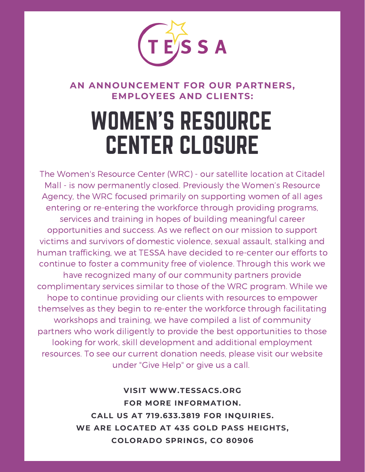

### **AN ANNOUNCEMENT FOR OUR PARTNERS, EMPLOYEES AND CLIENTS:**

## WOMEN'S RESOURCE CENTER CLOSURE

The Women's Resource Center (WRC) - our satellite location at Citadel Mall - is now permanently closed. Previously the Women's Resource Agency, the WRC focused primarily on supporting women of all ages entering or re-entering the workforce through providing programs, services and training in hopes of building meaningful career opportunities and success. As we reflect on our mission to support victims and survivors of domestic violence, sexual assault, stalking and human trafficking, we at TESSA have decided to re-center our efforts to continue to foster a community free of violence. Through this work we have recognized many of our community partners provide complimentary services similar to those of the WRC program. While we hope to continue providing our clients with resources to empower themselves as they begin to re-enter the workforce through facilitating workshops and training, we have compiled a list of community partners who work diligently to provide the best opportunities to those looking for work, skill development and additional employment resources. To see our current donation needs, please visit our website under "Give Help" or give us a call.

> **VISIT WWW.TESSACS.ORG FOR MORE INFORMATION. CALL US AT 719.633.3819 FOR INQUIRIES. WE ARE LOCATED AT 435 GOLD PASS HEIGHTS, COLORADO SPRINGS, CO 80906**